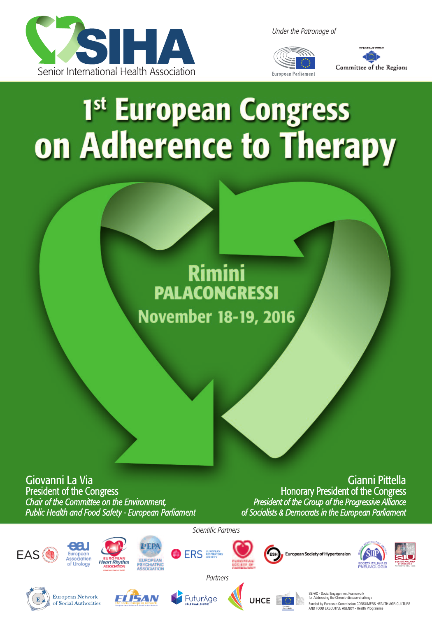

*Under the Patronage of*



Committee of the Regions

# 1<sup>st</sup> European Congress on Adherence to Therapy

## **Rimini PALACONGRESSI November 18-19, 2016**

Giovanni La Via President of the Congress *Chair of the Committee on the Environment, Public Health and Food Safety - European Parliament*

Gianni Pittella Honorary President of the Congress *President of the Group of the Progressive Alliance of Socialists & Democrats in the European Parliament*

*Scientific Partners*

*Partners*

FuturAge





**European Network** 

of Social Authorities









UHCE

**European Society of Hypertension** 



SEFAC - Social Engagement Framework for Addressing the Chronic-disease-challenge Funded by European Commission CONSUMERS HEALTH AGRICULTURE AND FOOD EXECUTIVE AGENCY - Health Programme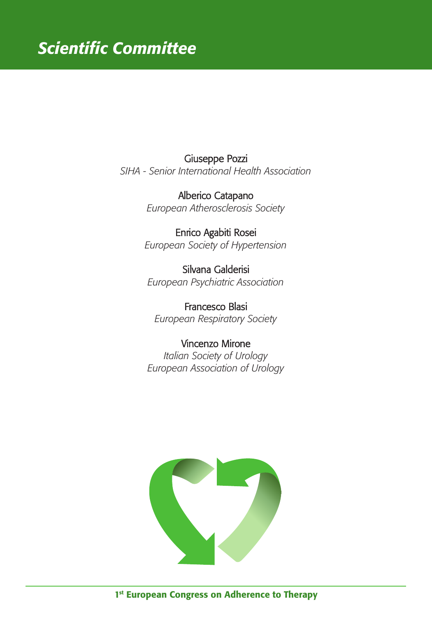## *Scientific Committee*

Giuseppe Pozzi *SIHA - Senior International Health Association*

> Alberico Catapano *European Atherosclerosis Society*

Enrico Agabiti Rosei *European Society of Hypertension*

Silvana Galderisi *European Psychiatric Association*

Francesco Blasi *European Respiratory Society*

Vincenzo Mirone *Italian Society of Urology European Association of Urology*

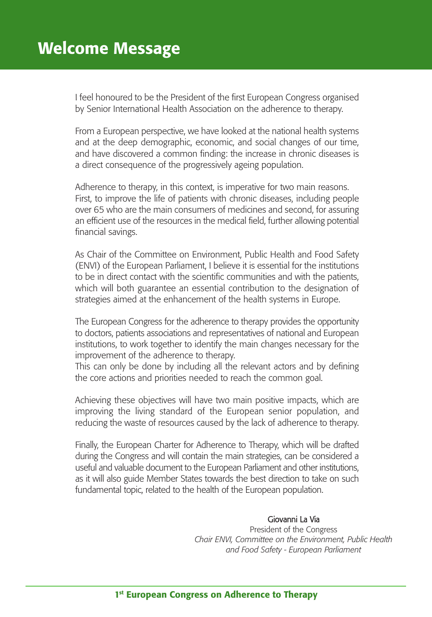I feel honoured to be the President of the first European Congress organised by Senior International Health Association on the adherence to therapy.

From a European perspective, we have looked at the national health systems and at the deep demographic, economic, and social changes of our time, and have discovered a common finding: the increase in chronic diseases is a direct consequence of the progressively ageing population.

Adherence to therapy, in this context, is imperative for two main reasons. First, to improve the life of patients with chronic diseases, including people over 65 who are the main consumers of medicines and second, for assuring an efficient use of the resources in the medical field, further allowing potential financial savings.

As Chair of the Committee on Environment, Public Health and Food Safety (ENVI) of the European Parliament, I believe it is essential for the institutions to be in direct contact with the scientific communities and with the patients, which will both guarantee an essential contribution to the designation of strategies aimed at the enhancement of the health systems in Europe.

The European Congress for the adherence to therapy provides the opportunity to doctors, patients associations and representatives of national and European institutions, to work together to identify the main changes necessary for the improvement of the adherence to therapy.

This can only be done by including all the relevant actors and by defining the core actions and priorities needed to reach the common goal.

Achieving these objectives will have two main positive impacts, which are improving the living standard of the European senior population, and reducing the waste of resources caused by the lack of adherence to therapy.

Finally, the European Charter for Adherence to Therapy, which will be drafted during the Congress and will contain the main strategies, can be considered a useful and valuable document to the European Parliament and other institutions, as it will also guide Member States towards the best direction to take on such fundamental topic, related to the health of the European population.

#### Giovanni La Via

President of the Congress *Chair ENVI, Committee on the Environment, Public Health and Food Safety - European Parliament*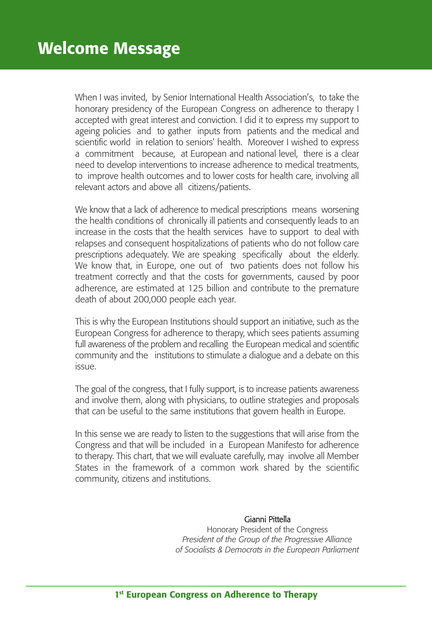When I was invited, by Senior International Health Association's, to take the honorary presidency of the European Congress on adherence to therapy I accepted with great interest and conviction. I did it to express my support to ageing policies and to gather inputs from patients and the medical and scientific world in relation to seniors' health. Moreover I wished to express a commitment because, at European and national level, there is a clear need to develop interventions to increase adherence to medical treatments, to improve health outcomes and to lower costs for health care, involving all relevant actors and above all citizens/patients.

We know that a lack of adherence to medical prescriptions means worsening the health conditions of chronically ill patients and consequently leads to an increase in the costs that the health services have to support to deal with relapses and consequent hospitalizations of patients who do not follow care prescriptions adequately. We are speaking specifically about the elderly. We know that, in Europe, one out of two patients does not follow his treatment correctly and that the costs for governments, caused by poor adherence, are estimated at 125 billion and contribute to the premature death of about 200,000 people each year.

This is why the European Institutions should support an initiative, such as the European Congress for adherence to therapy, which sees patients assuming full awareness of the problem and recalling the European medical and scientific community and the institutions to stimulate a dialogue and a debate on this issue.

The goal of the congress, that I fully support, is to increase patients awareness and involve them, along with physicians, to outline strategies and proposals that can be useful to the same institutions that govern health in Europe.

In this sense we are ready to listen to the suggestions that will arise from the Congress and that will be included in a European Manifesto for adherence to therapy. This chart, that we will evaluate carefully, may involve all Member States in the framework of a common work shared by the scientific community, citizens and institutions.

#### Gianni Pittella

Honorary President of the Congress *President of the Group of the Progressive Alliance of Socialists & Democrats in the European Parliament*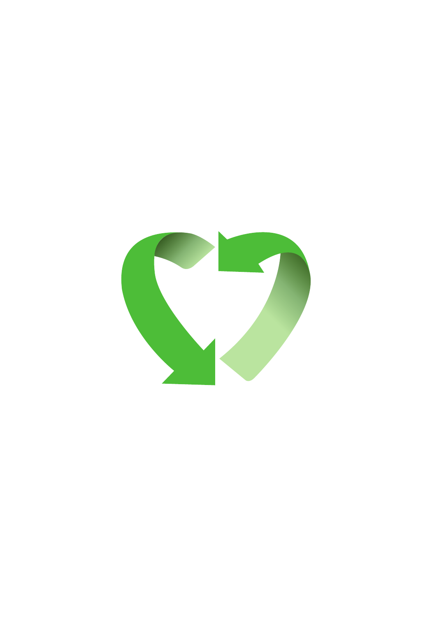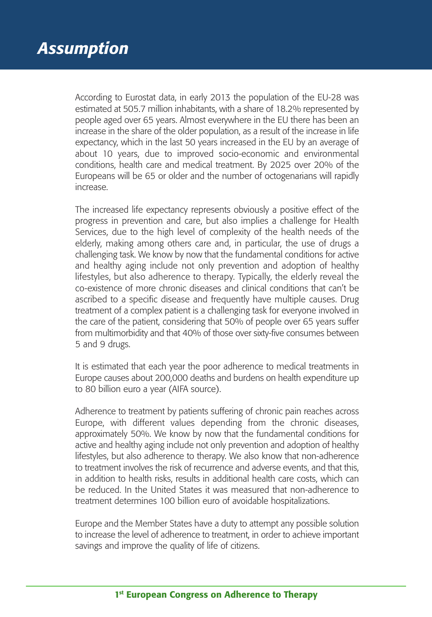According to Eurostat data, in early 2013 the population of the EU-28 was estimated at 505.7 million inhabitants, with a share of 18.2% represented by people aged over 65 years. Almost everywhere in the EU there has been an increase in the share of the older population, as a result of the increase in life expectancy, which in the last 50 years increased in the EU by an average of about 10 years, due to improved socio-economic and environmental conditions, health care and medical treatment. By 2025 over 20% of the Europeans will be 65 or older and the number of octogenarians will rapidly increase.

The increased life expectancy represents obviously a positive effect of the progress in prevention and care, but also implies a challenge for Health Services, due to the high level of complexity of the health needs of the elderly, making among others care and, in particular, the use of drugs a challenging task. We know by now that the fundamental conditions for active and healthy aging include not only prevention and adoption of healthy lifestyles, but also adherence to therapy. Typically, the elderly reveal the co-existence of more chronic diseases and clinical conditions that can't be ascribed to a specific disease and frequently have multiple causes. Drug treatment of a complex patient is a challenging task for everyone involved in the care of the patient, considering that 50% of people over 65 years suffer from multimorbidity and that 40% of those over sixty-five consumes between 5 and 9 drugs.

It is estimated that each year the poor adherence to medical treatments in Europe causes about 200,000 deaths and burdens on health expenditure up to 80 billion euro a year (AIFA source).

Adherence to treatment by patients suffering of chronic pain reaches across Europe, with different values depending from the chronic diseases, approximately 50%. We know by now that the fundamental conditions for active and healthy aging include not only prevention and adoption of healthy lifestyles, but also adherence to therapy. We also know that non-adherence to treatment involves the risk of recurrence and adverse events, and that this, in addition to health risks, results in additional health care costs, which can be reduced. In the United States it was measured that non-adherence to treatment determines 100 billion euro of avoidable hospitalizations.

Europe and the Member States have a duty to attempt any possible solution to increase the level of adherence to treatment, in order to achieve important savings and improve the quality of life of citizens.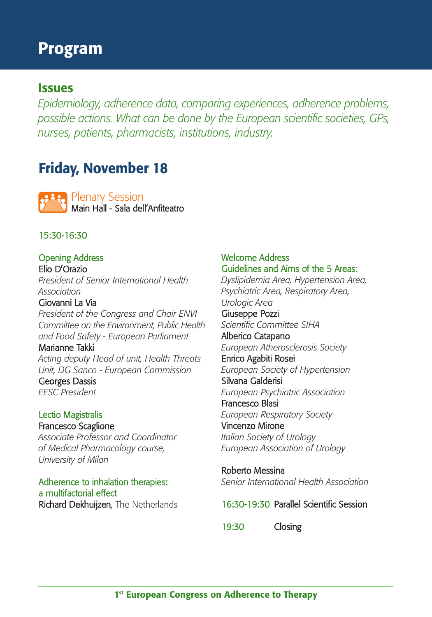#### **Issues**

*Epidemiology, adherence data, comparing experiences, adherence problems, possible actions. What can be done by the European scientific societies, GPs, nurses, patients, pharmacists, institutions, industry.*

### **Friday, November 18**



#### 15:30-16:30

#### Opening Address Elio D'Orazio

*President of Senior International Health Association*

Giovanni La Via *President of the Congress and Chair ENVI Committee on the Environment, Public Health and Food Safety - European Parliament*

#### Marianne Takki

*Acting deputy Head of unit, Health Threats Unit, DG Sanco - European Commission*

Georges Dassis *EESC President*

#### Lectio Magistralis Francesco Scaglione

*Associate Professor and Coordinator of Medical Pharmacology course, University of Milan*

#### Adherence to inhalation therapies: a multifactorial effect Richard Dekhuijzen, The Netherlands

#### Welcome Address Guidelines and Aims of the 5 Areas:

*Dyslipidemia Area, Hypertension Area, Psychiatric Area, Respiratory Area, Urologic Area* Giuseppe Pozzi *Scientific Committee SIHA* Alberico Catapano *European Atherosclerosis Society* Enrico Agabiti Rosei *European Society of Hypertension* Silvana Galderisi *European Psychiatric Association* Francesco Blasi *European Respiratory Society* Vincenzo Mirone *Italian Society of Urology European Association of Urology*

Roberto Messina *Senior International Health Association*

#### 16:30-19:30 Parallel Scientific Session

19:30 Closing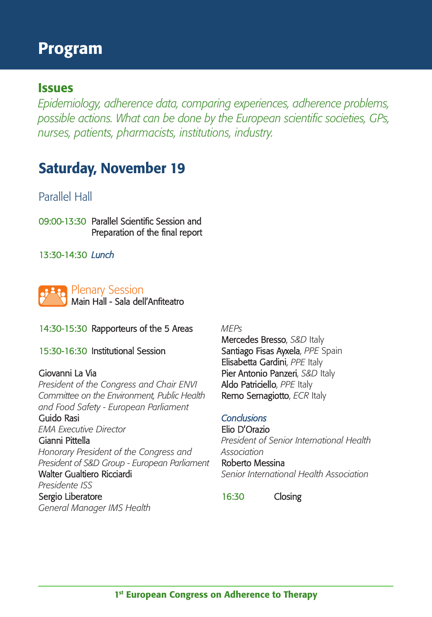#### **Issues**

*Epidemiology, adherence data, comparing experiences, adherence problems, possible actions. What can be done by the European scientific societies, GPs, nurses, patients, pharmacists, institutions, industry.*

### **Saturday, November 19**

Parallel Hall

09:00-13:30 Parallel Scientific Session and Preparation of the final report

13:30-14:30 *Lunch*



14:30-15:30 Rapporteurs of the 5 Areas

15:30-16:30 Institutional Session

#### Giovanni La Via

*President of the Congress and Chair ENVI Committee on the Environment, Public Health and Food Safety - European Parliament*

Guido Rasi *EMA Executive Director* Gianni Pittella *Honorary President of the Congress and President of S&D Group - European Parliament* Walter Gualtiero Ricciardi

*Presidente ISS* Sergio Liberatore *General Manager IMS Health* *MEPs*

Mercedes Bresso, *S&D* Italy Santiago Fisas Ayxela, *PPE* Spain Elisabetta Gardini, *PPE* Italy Pier Antonio Panzeri, *S&D* Italy Aldo Patriciello, *PPE* Italy Remo Sernagiotto, *ECR* Italy

#### *Conclusions*

Elio D'Orazio *President of Senior International Health Association* Roberto Messina *Senior International Health Association*

16:30 Closing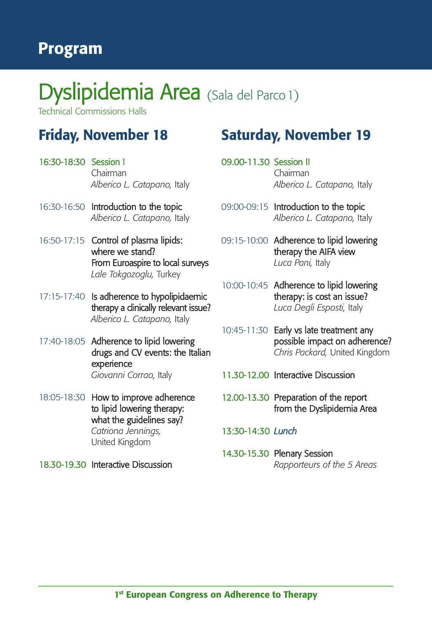## Dyslipidemia Area (Sala del Parco 1)

Technical Commissions Halls

### **Friday, November 18**

- 16:30-18:30 Session I Chairman *Alberico L. Catapano,* Italy
- 16:30-16:50 Introduction to the topic *Alberico L. Catapano,* Italy
- 16:50-17:15 Control of plasma lipids: where we stand? From Euroaspire to local surveys *Lale Tokgozoglu,* Turkey
- 17:15-17:40 Is adherence to hypolipidaemic therapy a clinically relevant issue? *Alberico L. Catapano,* Italy
- 17:40-18:05 Adherence to lipid lowering drugs and CV events: the Italian experience *Giovanni Corrao,* Italy
- 18:05-18:30 How to improve adherence to lipid lowering therapy: what the guidelines say? *Catriona Jennings,* United Kingdom
- 18.30-19.30 Interactive Discussion

## **Saturday, November 19**

- 09.00-11.30 Session II Chairman *Alberico L. Catapano,* Italy
- 09:00-09:15 Introduction to the topic *Alberico L. Catapano,* Italy
- 09:15-10:00 Adherence to lipid lowering therapy the AIFA view *Luca Pani,* Italy
- 10:00-10:45 Adherence to lipid lowering therapy: is cost an issue? *Luca Degli Esposti,* Italy
- 10:45-11:30 Early vs late treatment any possible impact on adherence? *Chris Packard,* United Kingdom
- 11.30-12.00 Interactive Discussion
- 12.00-13.30 Preparation of the report from the Dyslipidemia Area
- 13:30-14:30 *Lunch*
- 14.30-15.30 Plenary Session *Rapporteurs of the 5 Areas*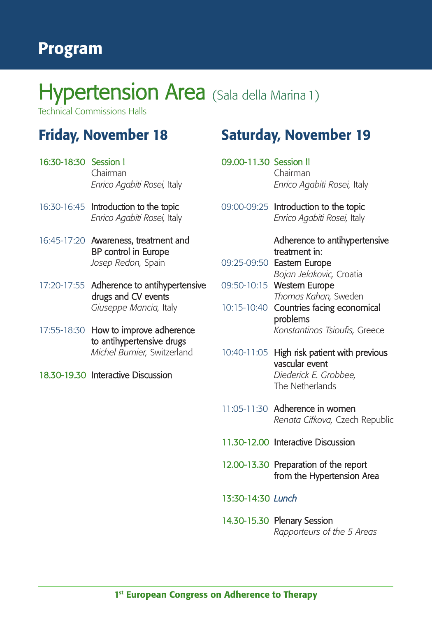## Hypertension Area (Sala della Marina 1)

Technical Commissions Halls

## **Friday, November 18**

- 16:30-18:30 Session I Chairman *Enrico Agabiti Rosei,* Italy
- 16:30-16:45 Introduction to the topic *Enrico Agabiti Rosei,* Italy
- 16:45-17:20 Awareness, treatment and BP control in Europe *Josep Redon,* Spain
- 17:20-17:55 Adherence to antihypertensive drugs and CV events *Giuseppe Mancia,* Italy
- 17:55-18:30 How to improve adherence to antihypertensive drugs *Michel Burnier,* Switzerland
- 18.30-19.30 Interactive Discussion

## **Saturday, November 19**

- 09.00-11.30 Session II Chairman *Enrico Agabiti Rosei,* Italy
- 09:00-09:25 Introduction to the topic *Enrico Agabiti Rosei,* Italy

#### Adherence to antihypertensive treatment in:

- 09:25-09:50 Eastern Europe *Bojan Jelakovic,* Croatia
- 09:50-10:15 Western Europe *Thomas Kahan,* Sweden
- 10:15-10:40 Countries facing economical problems *Konstantinos Tsioufis,* Greece
- 10:40-11:05 High risk patient with previous vascular event *Diederick E. Grobbee,* The Netherlands
- 11:05-11:30 Adherence in women *Renata Cifkova,* Czech Republic
- 11.30-12.00 Interactive Discussion
- 12.00-13.30 Preparation of the report from the Hypertension Area
- 13:30-14:30 *Lunch*
- 14.30-15.30 Plenary Session *Rapporteurs of the 5 Areas*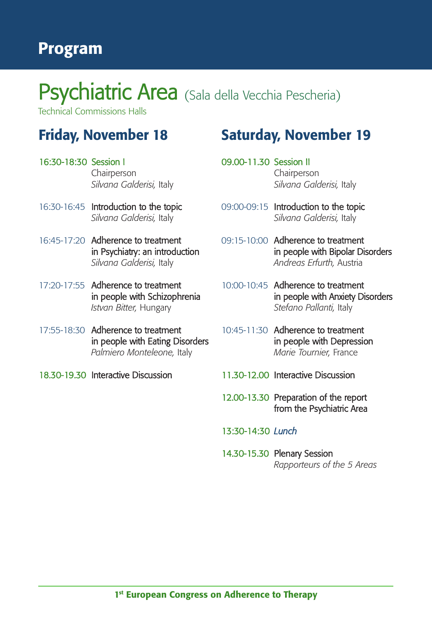## Psychiatric Area (Sala della Vecchia Pescheria)

Technical Commissions Halls

## **Friday, November 18**

16:30-18:30 Session I Chairperson *Silvana Galderisi,* Italy

- 16:30-16:45 Introduction to the topic *Silvana Galderisi,* Italy
- 16:45-17:20 Adherence to treatment in Psychiatry: an introduction *Silvana Galderisi,* Italy
- 17:20-17:55 Adherence to treatment in people with Schizophrenia *Istvan Bitter,* Hungary
- 17:55-18:30 Adherence to treatment in people with Eating Disorders *Palmiero Monteleone,* Italy
- 18.30-19.30 Interactive Discussion

## **Saturday, November 19**

- 09.00-11.30 Session II Chairperson *Silvana Galderisi,* Italy
- 09:00-09:15 Introduction to the topic *Silvana Galderisi,* Italy
- 09:15-10:00 Adherence to treatment in people with Bipolar Disorders *Andreas Erfurth,* Austria
- 10:00-10:45 Adherence to treatment in people with Anxiety Disorders *Stefano Pallanti,* Italy
- 10:45-11:30 Adherence to treatment in people with Depression *Marie Tournier,* France
- 11.30-12.00 Interactive Discussion
- 12.00-13.30 Preparation of the report from the Psychiatric Area
- 13:30-14:30 *Lunch*
- 14.30-15.30 Plenary Session *Rapporteurs of the 5 Areas*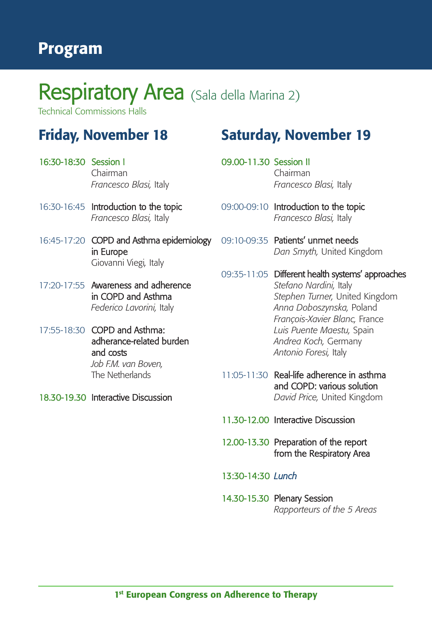## Respiratory Area (Sala della Marina 2)

Technical Commissions Halls

## **Friday, November 18**

- 16:30-18:30 Session I Chairman *Francesco Blasi,* Italy
- 16:30-16:45 Introduction to the topic *Francesco Blasi,* Italy
- 16:45-17:20 COPD and Asthma epidemiology 09:10-09:35 Patients' unmet needs in Europe Giovanni Viegi*,* Italy
- 17:20-17:55 Awareness and adherence in COPD and Asthma *Federico Lavorini,* Italy
- 17:55-18:30 COPD and Asthma: adherance-related burden and costs *Job F.M. van Boven,* The Netherlands
- 18.30-19.30 Interactive Discussion

## **Saturday, November 19**

- 09.00-11.30 Session II Chairman *Francesco Blasi,* Italy
- 09:00-09:10 Introduction to the topic *Francesco Blasi,* Italy
- *Dan Smyth,* United Kingdom
- 09:35-11:05 Different health systems' approaches

*Stefano Nardini,* Italy *Stephen Turner,* United Kingdom *Anna Doboszynska,* Poland *François-Xavier Blanc,* France *Luis Puente Maestu,* Spain *Andrea Koch,* Germany *Antonio Foresi,* Italy

- 11:05-11:30 Real-life adherence in asthma and COPD: various solution *David Price,* United Kingdom
- 11.30-12.00 Interactive Discussion
- 12.00-13.30 Preparation of the report from the Respiratory Area
- 13:30-14:30 *Lunch*
- 14.30-15.30 Plenary Session *Rapporteurs of the 5 Areas*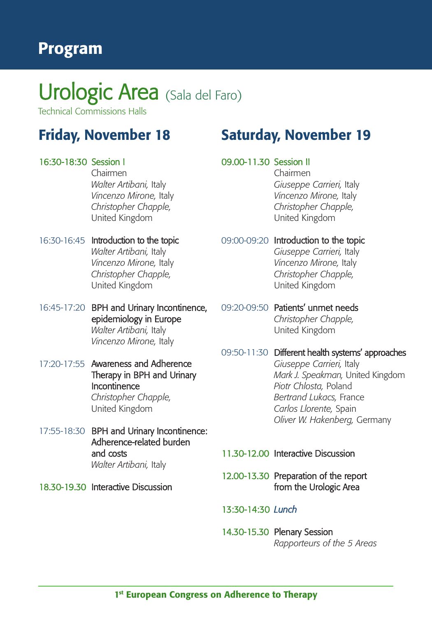## Urologic Area (Sala del Faro)

Technical Commissions Halls

## **Friday, November 18**

#### 16:30-18:30 Session I Chairmen *Walter Artibani,* Italy *Vincenzo Mirone,* Italy *Christopher Chapple,*

United Kingdom

#### 16:30-16:45 Introduction to the topic

*Walter Artibani,* Italy *Vincenzo Mirone,* Italy *Christopher Chapple,* United Kingdom

- 16:45-17:20 BPH and Urinary Incontinence, epidemiology in Europe *Walter Artibani,* Italy *Vincenzo Mirone,* Italy
- 17:20-17:55 Awareness and Adherence Therapy in BPH and Urinary **Incontinence** *Christopher Chapple,*

United Kingdom

- 17:55-18:30 BPH and Urinary Incontinence: Adherence-related burden and costs *Walter Artibani,* Italy
- 18.30-19.30 Interactive Discussion

## **Saturday, November 19**

#### 09.00-11.30 Session II

Chairmen *Giuseppe Carrieri,* Italy *Vincenzo Mirone,* Italy *Christopher Chapple,* United Kingdom

#### 09:00-09:20 Introduction to the topic

*Giuseppe Carrieri,* Italy *Vincenzo Mirone,* Italy *Christopher Chapple,* United Kingdom

#### 09:20-09:50 Patients' unmet needs *Christopher Chapple,* United Kingdom

#### 09:50-11:30 Different health systems' approaches

*Giuseppe Carrieri,* Italy *Mark J. Speakman,* United Kingdom *Piotr Chlosta,* Poland *Bertrand Lukacs,* France *Carlos Llorente,* Spain *Oliver W. Hakenberg,* Germany

- 11.30-12.00 Interactive Discussion
- 12.00-13.30 Preparation of the report from the Urologic Area
- 13:30-14:30 *Lunch*
- 14.30-15.30 Plenary Session *Rapporteurs of the 5 Areas*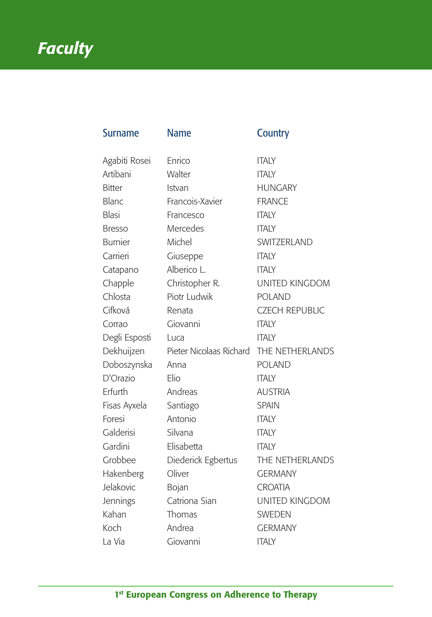## *Faculty*

| <b>Surname</b> | <b>Name</b>             | <b>Country</b>        |
|----------------|-------------------------|-----------------------|
| Agabiti Rosei  | Enrico                  | <b>ITALY</b>          |
| Artibani       | Walter                  | <b>ITALY</b>          |
| <b>Bitter</b>  | Istvan                  | <b>HUNGARY</b>        |
| Blanc          | Francois-Xavier         | <b>FRANCE</b>         |
| <b>Blasi</b>   | Francesco               | <b>ITALY</b>          |
| <b>Bresso</b>  | Mercedes                | <b>ITALY</b>          |
| <b>Burnier</b> | Michel                  | SWITZERLAND           |
| Carrieri       | Giuseppe                | <b>ITALY</b>          |
| Catapano       | Alberico L.             | <b>ITALY</b>          |
| Chapple        | Christopher R.          | UNITED KINGDOM        |
| Chlosta        | Piotr Ludwik            | <b>POLAND</b>         |
| Cifková        | Renata                  | <b>CZECH REPUBLIC</b> |
| Corrao         | Giovanni                | <b>ITAIY</b>          |
| Degli Esposti  | Luca                    | <b>ITALY</b>          |
| Dekhuijzen     | Pieter Nicolaas Richard | THE NETHERLANDS       |
| Doboszynska    | Anna                    | <b>POLAND</b>         |
| D'Orazio       | Elio                    | <b>ITALY</b>          |
| Erfurth        | Andreas                 | <b>AUSTRIA</b>        |
| Fisas Ayxela   | Santiago                | <b>SPAIN</b>          |
| Foresi         | Antonio                 | <b>ITALY</b>          |
| Galderisi      | Silvana                 | <b>ITALY</b>          |
| Gardini        | Elisabetta              | <b>ITALY</b>          |
| Grobbee        | Diederick Egbertus      | THE NETHERLANDS       |
| Hakenberg      | Oliver                  | <b>GERMANY</b>        |
| Jelakovic      | Bojan                   | <b>CROATIA</b>        |
| Jennings       | Catriona Sian           | UNITED KINGDOM        |
| Kahan          | Thomas                  | <b>SWEDEN</b>         |
| Koch           | Andrea                  | <b>GERMANY</b>        |
| La Via         | Giovanni                | <b>ITALY</b>          |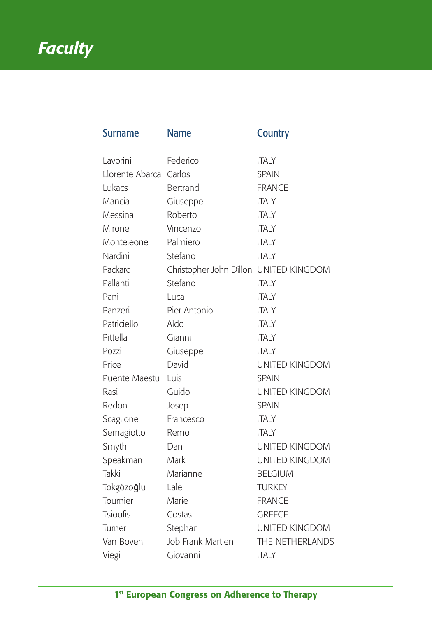## *Faculty*

| <b>Surname</b>  | <b>Name</b>                            | Country               |
|-----------------|----------------------------------------|-----------------------|
| Lavorini        | Federico                               | <b>ITALY</b>          |
| Llorente Abarca | Carlos                                 | <b>SPAIN</b>          |
| Lukacs          | Bertrand                               | <b>FRANCE</b>         |
| Mancia          | Giuseppe                               | <b>ITALY</b>          |
| Messina         | Roberto                                | <b>ITALY</b>          |
| Mirone          | Vincenzo                               | <b>ITALY</b>          |
| Monteleone      | Palmiero                               | <b>ITALY</b>          |
| Nardini         | Stefano                                | <b>ITALY</b>          |
| Packard         | Christopher John Dillon UNITED KINGDOM |                       |
| Pallanti        | Stefano                                | <b>ITALY</b>          |
| Pani            | Luca                                   | <b>ITALY</b>          |
| Panzeri         | Pier Antonio                           | <b>ITALY</b>          |
| Patriciello     | Aldo                                   | <b>ITALY</b>          |
| Pittella        | Gianni                                 | <b>ITALY</b>          |
| Pozzi           | Giuseppe                               | <b>ITALY</b>          |
| Price           | David                                  | <b>UNITED KINGDOM</b> |
| Puente Maestu   | Luis                                   | <b>SPAIN</b>          |
| Rasi            | Guido                                  | UNITED KINGDOM        |
| Redon           | Josep                                  | <b>SPAIN</b>          |
| Scaglione       | Francesco                              | <b>ITALY</b>          |
| Sernagiotto     | Remo                                   | <b>ITALY</b>          |
| Smyth           | Dan                                    | UNITED KINGDOM        |
| Speakman        | Mark                                   | <b>UNITED KINGDOM</b> |
| Takki           | Marianne                               | <b>BELGIUM</b>        |
| Tokgözoğlu      | Lale                                   | <b>TURKEY</b>         |
| Tournier        | Marie                                  | <b>FRANCE</b>         |
| <b>Tsioufis</b> | Costas                                 | <b>GREECE</b>         |
| Turner          | Stephan                                | <b>UNITED KINGDOM</b> |
| Van Boven       | Job Frank Martien                      | THE NETHERLANDS       |
| Viegi           | Giovanni                               | <b>ITALY</b>          |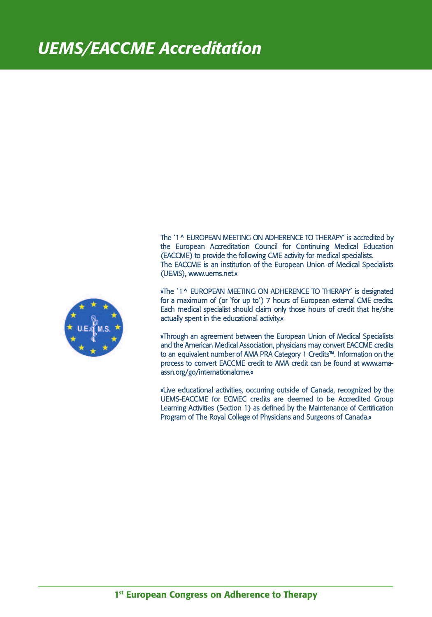The `1^ EUROPEAN MEETING ON ADHERENCE TO THERAPY' is accredited by the European Accreditation Council for Continuing Medical Education (EACCME) to provide the following CME activity for medical specialists. The EACCME is an institution of the European Union of Medical Specialists (UEMS), www.uems.net.«

»The `1^ EUROPEAN MEETING ON ADHERENCE TO THERAPY' is designated for a maximum of (or `for up to´) 7 hours of European external CME credits. Each medical specialist should claim only those hours of credit that he/she actually spent in the educational activity.«

»Through an agreement between the European Union of Medical Specialists and the American Medical Association, physicians may convert EACCME credits to an equivalent number of AMA PRA Category 1 Credits™. Information on the process to convert EACCME credit to AMA credit can be found at www.amaassn.org/go/internationalcme.«

»Live educational activities, occurring outside of Canada, recognized by the UEMS-EACCME for ECMEC credits are deemed to be Accredited Group Learning Activities (Section 1) as defined by the Maintenance of Certification Program of The Royal College of Physicians and Surgeons of Canada.«

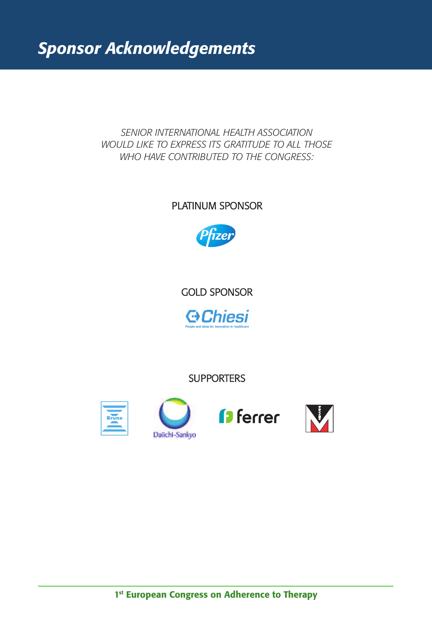*Sponsor Acknowledgements*

*SENIOR INTERNATIONAL HEALTH ASSOCIATION WOULD LIKE TO EXPRESS ITS GRATITUDE TO ALL THOSE WHO HAVE CONTRIBUTED TO THE CONGRESS:*

PLATINUM SPONSOR



### GOLD SPONSOR



**SUPPORTERS** 









**1st European Congress on Adherence to Therapy**